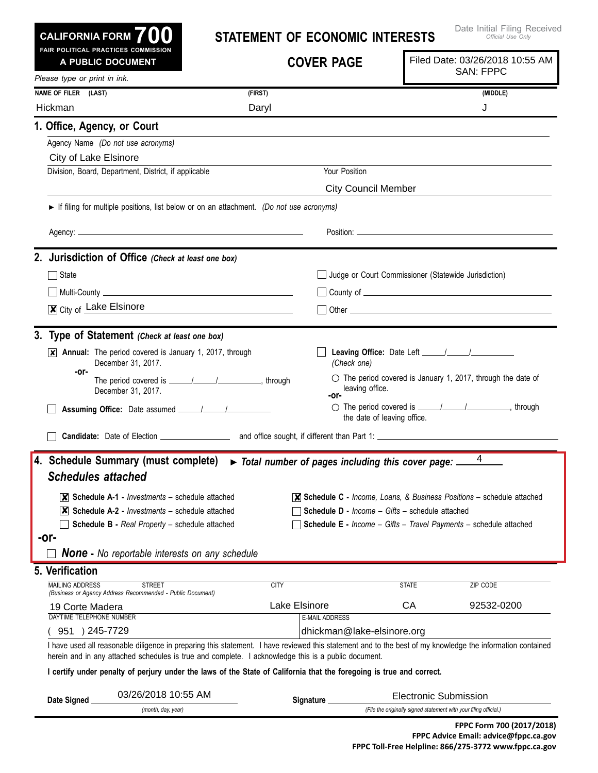| CALIFORNIA FORM $700$<br><b>FAIR POLITICAL PRACTICES COMMISSION</b> | <b>STATEMENT OF ECONOMIC INTERESTS</b> | Date Initial Filing Receive<br>Official Use Only |
|---------------------------------------------------------------------|----------------------------------------|--------------------------------------------------|
| A PUBLIC DOCUMENT                                                   | <b>COVER PAGE</b>                      | Filed Date: 03/26/2018 10:55 AM                  |
| Please type or print in ink.                                        |                                        | <b>SAN: FPPC</b>                                 |
| <b>NAME OF FILER</b><br>(LAST)                                      | (FIRST)                                | (MIDDLE)                                         |
| Hickman                                                             | Daryl                                  |                                                  |
| 1. Office, Agency, or Court                                         |                                        |                                                  |
| Agency Name (Do not use acronyms)                                   |                                        |                                                  |
| City of Lake Elsinore                                               |                                        |                                                  |

Division, Board, Department, District, if applicable Your Position

## **Leaving Office:** Date Left / / *(Check one)*  $\circ$  The period covered is January 1, 2017, through the date of leaving office.  $\bigcirc$  The period covered is  $\frac{1}{\sqrt{2}}$  /  $\frac{1}{\sqrt{2}}$ , through the date of leaving office. **X** Annual: The period covered is January 1, 2017, through December 31, 2017. The period covered is / / , through December 31, 2017. **3. Type of Statement** *(Check at least one box)* State State Judge or Court Commissioner (Statewide Jurisdiction)  $\Box$  Multi-County  $\Box$  $\overline{\mathbf{x}}$  City of Lake Elsinore  $\Box$  Other **2. Jurisdiction of Office** *(Check at least one box)* **Candidate:** Date of Election **Candidate:** Date of Election **and Canadidate:** Candidate: **Candidate:** Date of Election **Accord 2014 Assuming Office:** Date assumed / / ► If filing for multiple positions, list below or on an attachment. *(Do not use acronyms)* Agency: Position: **-or- -or-** *None* **-** *No reportable interests on any schedule* **4. Schedule Summary (must complete)** ► *Total number of pages including this cover page: Schedules attached*  **Schedule A-1 -** *Investments* – schedule attached ✘ **Schedule A-2 -** *Investments* – schedule attached ✘ **Schedule B -** *Real Property* – schedule attached **-or- Schedule C -** *Income, Loans, & Business Positions* – schedule attached ✘ **Schedule D -** *Income – Gifts* – schedule attached **Schedule E -** *Income – Gifts – Travel Payments* – schedule attached City Council Member 4 03/26/2018 10:55 AM ✘

#### **5. Verification**

| <b>MAILING ADDRESS</b><br><b>STREET</b>                    | CITY                       | <b>STATE</b> | ZIP CODE          |
|------------------------------------------------------------|----------------------------|--------------|-------------------|
| (Business or Agency Address Recommended - Public Document) |                            |              |                   |
| 19 Corte Madera                                            | Lake Elsinore              | CА           | 92532-0200        |
| DAYTIME TELEPHONE NUMBER                                   | <b>E-MAIL ADDRESS</b>      |              |                   |
| 951<br>245-7729                                            | dhickman@lake-elsinore.org |              |                   |
| .<br>.<br>.<br>. .                                         |                            | .            | $\cdots$ $\cdots$ |

I have used all reasonable diligence in preparing this statement. I have reviewed this statement and to the best of my knowledge the information contained herein and in any attached schedules is true and complete. I acknowledge this is a public document.

#### I certify under penalty of perjury under the laws of the State of California that the foregoing is true and correct.

|                                                                                         | Date Signed | 03/26/2018 10:55 AM | Sianature | Electronic Submission |  |
|-----------------------------------------------------------------------------------------|-------------|---------------------|-----------|-----------------------|--|
| (File the originally signed statement with your filing official.)<br>(month, day, year) |             |                     |           |                       |  |

Initial Filing Received *Official Use Only*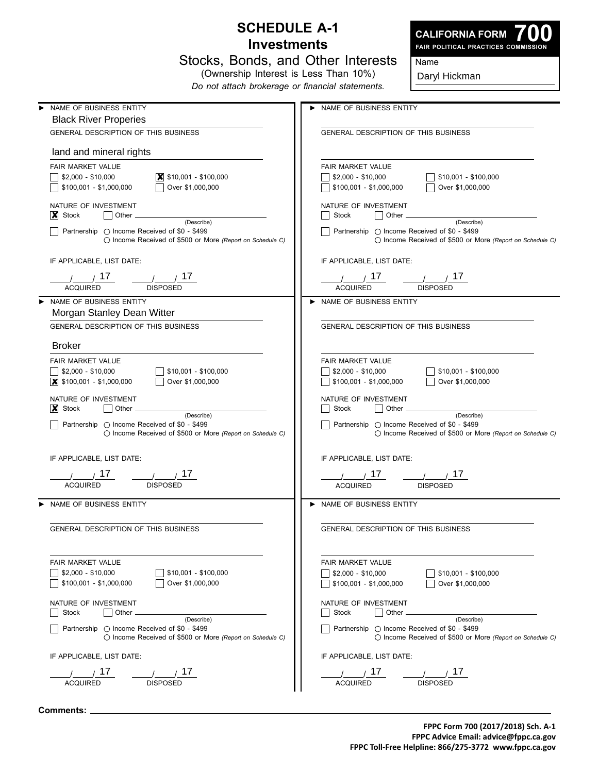### **Schedule A-1 Investments**



**700 Fair Political Practices Commission**

| Stocks, Bonds, and Other Interests |  |                                       |  |  |  |
|------------------------------------|--|---------------------------------------|--|--|--|
|                                    |  | (Ownership Interest is Less Than 10%) |  |  |  |

*Do not attach brokerage or financial statements.*

Daryl Hickman

Name

| NAME OF BUSINESS ENTITY                                                                                            | > NAME OF BUSINESS ENTITY                                                                                 |
|--------------------------------------------------------------------------------------------------------------------|-----------------------------------------------------------------------------------------------------------|
| <b>Black River Properies</b>                                                                                       |                                                                                                           |
| GENERAL DESCRIPTION OF THIS BUSINESS                                                                               | GENERAL DESCRIPTION OF THIS BUSINESS                                                                      |
| land and mineral rights                                                                                            |                                                                                                           |
| FAIR MARKET VALUE                                                                                                  | <b>FAIR MARKET VALUE</b>                                                                                  |
| $\boxed{\mathbf{X}}$ \$10,001 - \$100,000<br>\$2,000 - \$10,000                                                    | $\sqrt{$10,001 - $100,000}$<br>  \$2,000 - \$10,000                                                       |
| Over \$1,000,000<br>\$100,001 - \$1,000,000                                                                        | \$100,001 - \$1,000,000<br>    Over $$1,000,000$                                                          |
|                                                                                                                    |                                                                                                           |
| NATURE OF INVESTMENT                                                                                               | NATURE OF INVESTMENT                                                                                      |
| $\vert$ Other $\vert$<br>$ X $ Stock                                                                               | $\vert$   Other $\vert$<br>Stock                                                                          |
| (Describe)<br>Partnership ( Income Received of \$0 - \$499                                                         | (Describe)<br><b>Partnership</b> ○ Income Received of \$0 - \$499                                         |
| $\bigcirc$ Income Received of \$500 or More (Report on Schedule C)                                                 | $\bigcirc$ Income Received of \$500 or More (Report on Schedule C)                                        |
|                                                                                                                    |                                                                                                           |
| IF APPLICABLE, LIST DATE:                                                                                          | IF APPLICABLE, LIST DATE:                                                                                 |
| $\frac{1}{1}$ $\frac{17}{17}$                                                                                      | $\frac{1}{1}$ $\frac{17}{17}$<br>$\frac{1}{\sqrt{2}}$ 17                                                  |
| <b>ACQUIRED</b><br><b>DISPOSED</b>                                                                                 | <b>DISPOSED</b><br><b>ACQUIRED</b>                                                                        |
| NAME OF BUSINESS ENTITY                                                                                            | > NAME OF BUSINESS ENTITY                                                                                 |
| Morgan Stanley Dean Witter                                                                                         |                                                                                                           |
| GENERAL DESCRIPTION OF THIS BUSINESS                                                                               | GENERAL DESCRIPTION OF THIS BUSINESS                                                                      |
| <b>Broker</b>                                                                                                      |                                                                                                           |
| FAIR MARKET VALUE                                                                                                  | <b>FAIR MARKET VALUE</b>                                                                                  |
| $\sqrt{\$2,000 - $10,000\}$<br>$\sqrt{ }$ \$10,001 - \$100,000                                                     | $\frac{1}{2}$ \$10,001 - \$100,000<br>$\sqrt{\$2,000 - $10,000\}$                                         |
|                                                                                                                    | Over \$1,000,000<br>\$100,001 - \$1,000,000                                                               |
|                                                                                                                    |                                                                                                           |
| NATURE OF INVESTMENT                                                                                               | NATURE OF INVESTMENT                                                                                      |
| $\vert \bm{\mathsf{X}} \vert$ Stock<br>$\vert$ Other $\vert$<br>(Describe)                                         | Stock<br>$\vert$ Other $\vert$<br>(Describe)                                                              |
| Partnership ○ Income Received of \$0 - \$499                                                                       | Partnership ○ Income Received of \$0 - \$499                                                              |
| ◯ Income Received of \$500 or More (Report on Schedule C)                                                          | ◯ Income Received of \$500 or More (Report on Schedule C)                                                 |
| IF APPLICABLE, LIST DATE:                                                                                          | IF APPLICABLE, LIST DATE:                                                                                 |
|                                                                                                                    |                                                                                                           |
| $\prime$ $\prime$ 17                                                                                               | $\frac{1}{1}$ $\frac{17}{1}$                                                                              |
| <b>ACQUIRED</b><br><b>DISPOSED</b>                                                                                 | <b>ACQUIRED</b><br><b>DISPOSED</b>                                                                        |
| NAME OF BUSINESS ENTITY                                                                                            | > NAME OF BUSINESS ENTITY                                                                                 |
|                                                                                                                    |                                                                                                           |
| GENERAL DESCRIPTION OF THIS BUSINESS                                                                               | GENERAL DESCRIPTION OF THIS BUSINESS                                                                      |
|                                                                                                                    |                                                                                                           |
| <b>FAIR MARKET VALUE</b>                                                                                           | <b>FAIR MARKET VALUE</b>                                                                                  |
| $$2.000 - $10.000$<br>$$10,001 - $100,000$                                                                         | $$2,000 - $10,000$<br>\$10,001 - \$100,000                                                                |
| $$100,001 - $1,000,000$<br>Over \$1,000,000                                                                        | \$100,001 - \$1,000,000<br>Over \$1,000,000                                                               |
| NATURE OF INVESTMENT                                                                                               | NATURE OF INVESTMENT                                                                                      |
| Stock<br>Other                                                                                                     | Stock<br>Other                                                                                            |
| (Describe)                                                                                                         | (Describe)                                                                                                |
| Partnership $\bigcirc$ Income Received of \$0 - \$499<br>◯ Income Received of \$500 or More (Report on Schedule C) | Partnership ○ Income Received of \$0 - \$499<br>◯ Income Received of \$500 or More (Report on Schedule C) |
|                                                                                                                    |                                                                                                           |
| IF APPLICABLE, LIST DATE:                                                                                          | IF APPLICABLE, LIST DATE:                                                                                 |
| 17                                                                                                                 | 17<br>1/                                                                                                  |
| <b>DISPOSED</b><br><b>ACQUIRED</b>                                                                                 | <b>DISPOSED</b><br><b>ACQUIRED</b>                                                                        |
|                                                                                                                    |                                                                                                           |

**Comments:**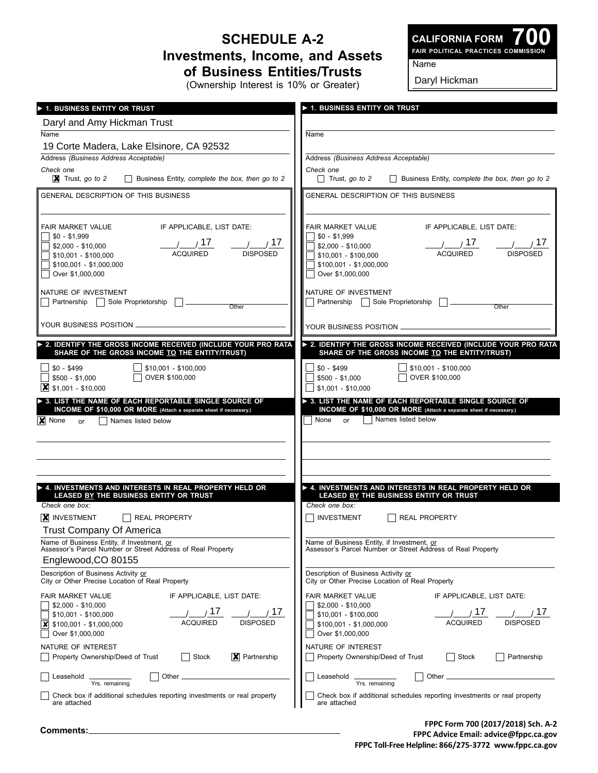# **Schedule A-2 Investments, Income, and Assets of Business Entities/Trusts**

(Ownership Interest is 10% or Greater)

Name

**CALIFORNIA FORM**

**700 Fair Political Practices Commission**

Daryl Hickman

| 1. BUSINESS ENTITY OR TRUST                                                                                                                                                                                                                                                                                                               | $\blacktriangleright$ 1. Business entity or trust                                                                                                                                                                                                                                                                                         |  |  |
|-------------------------------------------------------------------------------------------------------------------------------------------------------------------------------------------------------------------------------------------------------------------------------------------------------------------------------------------|-------------------------------------------------------------------------------------------------------------------------------------------------------------------------------------------------------------------------------------------------------------------------------------------------------------------------------------------|--|--|
| Daryl and Amy Hickman Trust                                                                                                                                                                                                                                                                                                               |                                                                                                                                                                                                                                                                                                                                           |  |  |
| Name                                                                                                                                                                                                                                                                                                                                      | Name                                                                                                                                                                                                                                                                                                                                      |  |  |
| 19 Corte Madera, Lake Elsinore, CA 92532                                                                                                                                                                                                                                                                                                  |                                                                                                                                                                                                                                                                                                                                           |  |  |
| Address (Business Address Acceptable)                                                                                                                                                                                                                                                                                                     | Address (Business Address Acceptable)                                                                                                                                                                                                                                                                                                     |  |  |
| Check one<br>$\boxed{\mathbf{X}}$ Trust, go to 2<br>Business Entity, complete the box, then go to 2                                                                                                                                                                                                                                       | Check one<br>Trust, go to 2 Business Entity, complete the box, then go to 2                                                                                                                                                                                                                                                               |  |  |
| GENERAL DESCRIPTION OF THIS BUSINESS                                                                                                                                                                                                                                                                                                      | GENERAL DESCRIPTION OF THIS BUSINESS                                                                                                                                                                                                                                                                                                      |  |  |
|                                                                                                                                                                                                                                                                                                                                           |                                                                                                                                                                                                                                                                                                                                           |  |  |
| IF APPLICABLE, LIST DATE:<br>FAIR MARKET VALUE<br>$$0 - $1,999$<br>1/17<br>$\frac{1}{\sqrt{17}}$<br>\$2,000 - \$10,000<br><b>DISPOSED</b><br><b>ACQUIRED</b><br>$$10,001 - $100,000$<br>$$100,001 - $1,000,000$<br>Over \$1,000,000<br>NATURE OF INVESTMENT<br>Partnership Sole Proprietorship<br>Other                                   | IF APPLICABLE, LIST DATE:<br>FAIR MARKET VALUE<br>$$0 - $1,999$<br>$\frac{1}{1}$ $\frac{17}{1}$<br>$\frac{1}{1}$ $\frac{17}{17}$<br>\$2,000 - \$10,000<br><b>ACQUIRED</b><br><b>DISPOSED</b><br>\$10,001 - \$100,000<br>$$100,001 - $1,000,000$<br>Over \$1,000,000<br>NATURE OF INVESTMENT<br>Partnership   Sole Proprietorship<br>Other |  |  |
|                                                                                                                                                                                                                                                                                                                                           | YOUR BUSINESS POSITION                                                                                                                                                                                                                                                                                                                    |  |  |
| 2. IDENTIFY THE GROSS INCOME RECEIVED (INCLUDE YOUR PRO RATA                                                                                                                                                                                                                                                                              | > 2. IDENTIFY THE GROSS INCOME RECEIVED (INCLUDE YOUR PRO RATA                                                                                                                                                                                                                                                                            |  |  |
| SHARE OF THE GROSS INCOME TO THE ENTITY/TRUST)<br>$\sqrt{ }$ \$10,001 - \$100,000<br>$$0 - $499$<br>OVER \$100,000<br>$$500 - $1,000$<br>$\vert$ \$1,001 - \$10,000<br>> 3. LIST THE NAME OF EACH REPORTABLE SINGLE SOURCE OF<br>INCOME OF \$10,000 OR MORE (Attach a separate sheet if necessary.)<br>X None<br>Names listed below<br>or | SHARE OF THE GROSS INCOME TO THE ENTITY/TRUST)<br>$$10,001 - $100,000$<br>$$0 - $499$<br>OVER \$100,000<br>$$500 - $1,000$<br>$$1,001 - $10,000$<br>> 3. LIST THE NAME OF EACH REPORTABLE SINGLE SOURCE OF<br>INCOME OF \$10,000 OR MORE (Attach a separate sheet if necessary.)<br>Names listed below<br>None or                         |  |  |
| $\blacktriangleright$ 4. INVESTMENTS AND INTERESTS IN REAL PROPERTY HELD OR<br>LEASED BY THE BUSINESS ENTITY OR TRUST<br>Check one box:<br><b>X</b> INVESTMENT<br>REAL PROPERTY                                                                                                                                                           | A. INVESTMENTS AND INTERESTS IN REAL PROPERTY HELD OR<br>LEASED BY THE BUSINESS ENTITY OR TRUST<br>Check one box:<br><b>INVESTMENT</b><br>REAL PROPERTY                                                                                                                                                                                   |  |  |
| <b>Trust Company Of America</b>                                                                                                                                                                                                                                                                                                           |                                                                                                                                                                                                                                                                                                                                           |  |  |
| Name of Business Entity, if Investment, or<br>Assessor's Parcel Number or Street Address of Real Property<br>Englewood, CO 80155                                                                                                                                                                                                          | Name of Business Entity, if Investment, or<br>Assessor's Parcel Number or Street Address of Real Property                                                                                                                                                                                                                                 |  |  |
| Description of Business Activity or<br>City or Other Precise Location of Real Property                                                                                                                                                                                                                                                    | Description of Business Activity or<br>City or Other Precise Location of Real Property                                                                                                                                                                                                                                                    |  |  |
| FAIR MARKET VALUE<br>IF APPLICABLE, LIST DATE:<br>$$2,000 - $10,000$<br>17<br>17<br>\$10.001 - \$100.000<br><b>ACQUIRED</b><br><b>DISPOSED</b><br>\$100,001 - \$1,000,000<br> X<br>Over \$1,000,000                                                                                                                                       | <b>FAIR MARKET VALUE</b><br>IF APPLICABLE, LIST DATE:<br>$$2,000 - $10,000$<br>17<br>1/<br>$$10,001 - $100,000$<br><b>DISPOSED</b><br><b>ACQUIRED</b><br>$$100,001 - $1,000,000$<br>Over \$1,000,000                                                                                                                                      |  |  |
| NATURE OF INTEREST<br>Stock<br>$ \mathbf{X} $ Partnership<br>Property Ownership/Deed of Trust                                                                                                                                                                                                                                             | NATURE OF INTEREST<br>Stock<br>Partnership<br>Property Ownership/Deed of Trust<br>$\Box$                                                                                                                                                                                                                                                  |  |  |
| Other $\overline{\phantom{0}}$<br>Leasehold<br>Yrs. remaining                                                                                                                                                                                                                                                                             | Leasehold<br>Other _<br>Yrs. remaining                                                                                                                                                                                                                                                                                                    |  |  |
| Check box if additional schedules reporting investments or real property<br>are attached                                                                                                                                                                                                                                                  | Check box if additional schedules reporting investments or real property<br>are attached                                                                                                                                                                                                                                                  |  |  |

**FPPC Form 700 (2017/2018) Sch. A-2 FPPC Advice Email: advice@fppc.ca.gov FPPC Toll-Free Helpline: 866/275-3772 www.fppc.ca.gov**